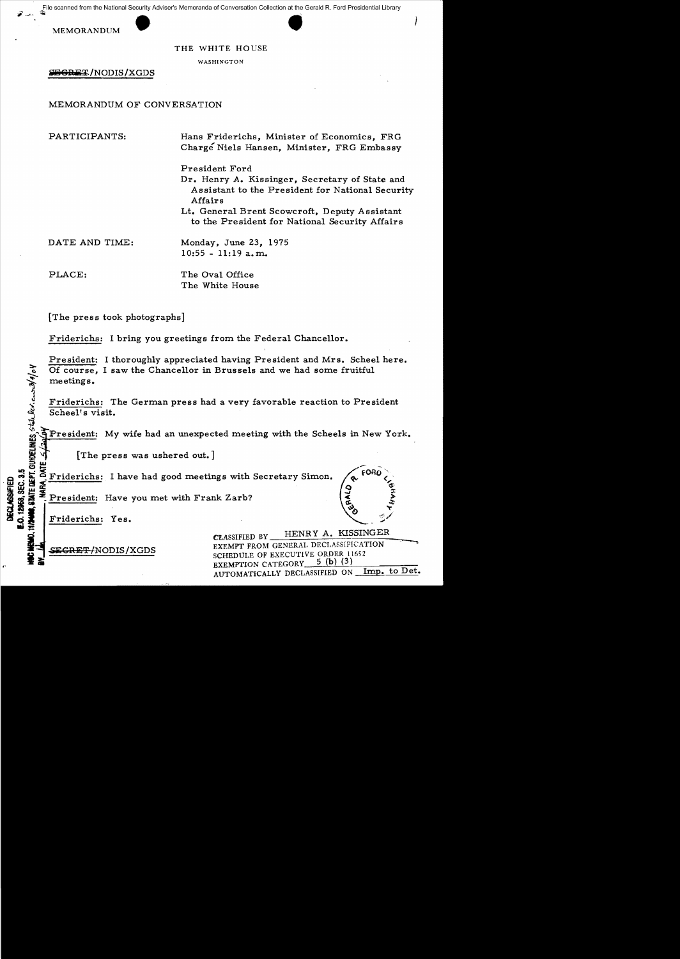Tile scanned from the National Security Adviser's Memoranda of Conversation Collection at the Gerald R. Ford Presidential Library

MEMORANDUM

#### THE WHITE HOUSE

WASHINGTON

SEGRET/NODIS/XGDS

MEMORANDUM OF CONVERSATION

PARTICIPANTS:

Hans Friderichs, Minister of Economics, FRG Charge Niels Hansen, Minister, FRG Embassy

President Ford

- Dr. Henry A. Kissinger, Secretary of State and Assistant to the President for National Security Affairs
- Lt. General Brent Scowcroft, Deputy Assistant to the President for National Security Affairs

DATE AND TIME:

PLACE:

The Oval Office The White House

Monday, June 23, 1975  $10:55 - 11:19$  a.m.

The press took photographs]

Friderichs: I bring you greetings from the Federal Chancellor.

President: I thoroughly appreciated having President and Mrs. Scheel here. Of course, I saw the Chancellor in Brussels and we had some fruitful meetings.

Friderichs: The German press had a very favorable reaction to President Scheel's visit.

President: My wife had an unexpected meeting with the Scheels in New York.

CLASSIFIED BY

[The press was ushered out.]

STATE DEPT. GUHDELINES STAL BOX. CLUS 29/9/04 Friderichs: I have had good meetings with Secretary Simon.

President: Have you met with Frank Zarb?

Friderichs: Yes.

12968, SEC. 3.5

**DECLASSIFIED** 

<del>ECRET/</del>NODIS/XGDS

HENRY A. KISSINGER EXEMPT FROM GENERAL DECLASSIFICATION

SCHEDULE OF EXECUTIVE ORDER 11652 5 (b)  $(3)$ EXEMPTION CATEGORY AUTOMATICALLY DECLASSIFIED ON Imp. to Det.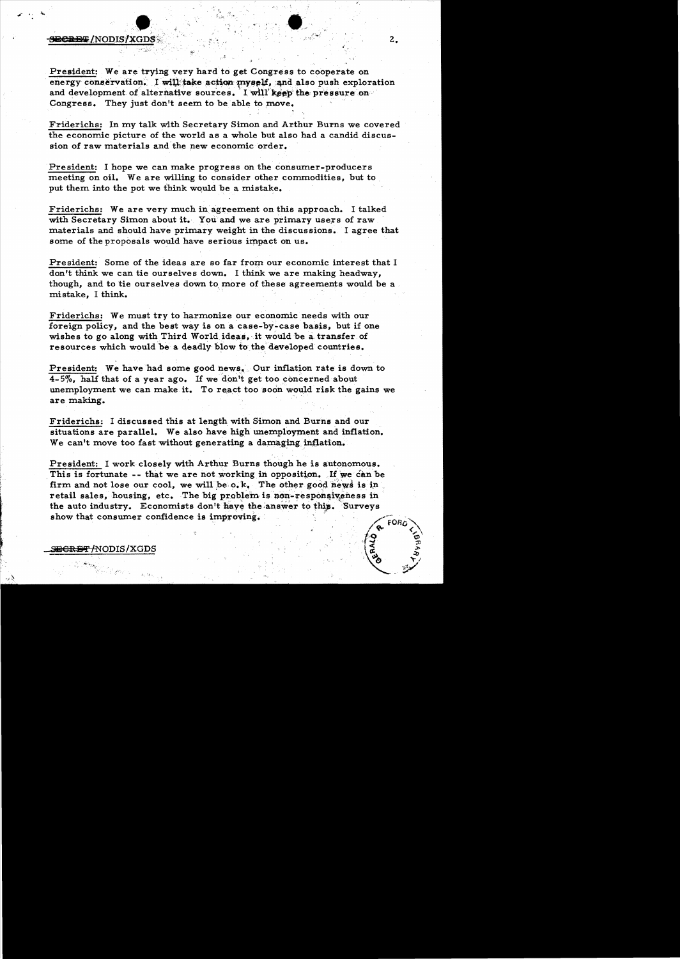## **BCREE/NODIS/XGDS**\$:,,' zero, kan all zero, ' zero, ' z. z. z. z.

**.** 

President: We are trying very hard to get Congress to cooperate on energy conservation. I will take action myself, and also push exploration and development of alternative sources. I will keep the pressure on Congress. They just don't seem to be able to move.

Friderichs: In my talk with Secretary Simon and Arthur Burns we covered the economic picture of the world as a whole but also had a candid discussion of raw materials and'the new economic order.

President: I hope we can make progress on the consumer-producers meeting on oil. We are willing to consider other commodities, but to. put them into the pot we think would be a mistake.

Friderichs: We are very much in agreement on this approach. I talked with Secretary Simon about it. You and we are primary users of raw materials and should have primary weight in the discussions. I agree that some of the proposals would have serious impact on us.

President: Some of the ideas are so far from our economic interest that I don't think we can tie ourselves down. I think we are making headway, though, and to tie ourselves down to more of these agreements would be a mistake, I think.

Friderichs: We must try to harmonize our economic needs with our foreign policy, and the best way is on a case-by-case basis, but if one wishes to go along with Third World ideas, it would be a transfer of resources which would be a deadly' blow tothe'deve10ped countries.

President: We have had some good news, Our inflation rate is down to 4-5%, half that of a year ago. If we don't get too concerned about unemployment we can make it. To react too soon would risk the gains we are making.

Friderichs: I discussed this at length with Simon and Burns and our situations are parallel. We also have high unemployment and inflation. We can't move too fast without generating a damaging inflation.

President: I work closely with Arthur Burns though he is autonomous. This is fortunate -- that we are not working in opposition. If we can be firm and not lose our cool, we will be  $\circ$ .k. The other good news is in retail sales, housing, etc. The big problem is non-responsiveness in the auto industry. Economists don't have the answer to this. Surveys retail sales, housing, etc. The big problem is non-responsiveness in<br>the auto industry. Economists don't have the answer to this. Surveys<br>show that consumer confidence is improving.



 $\int_0^\infty$   $\int_{\mathbb{D}}$ 

,~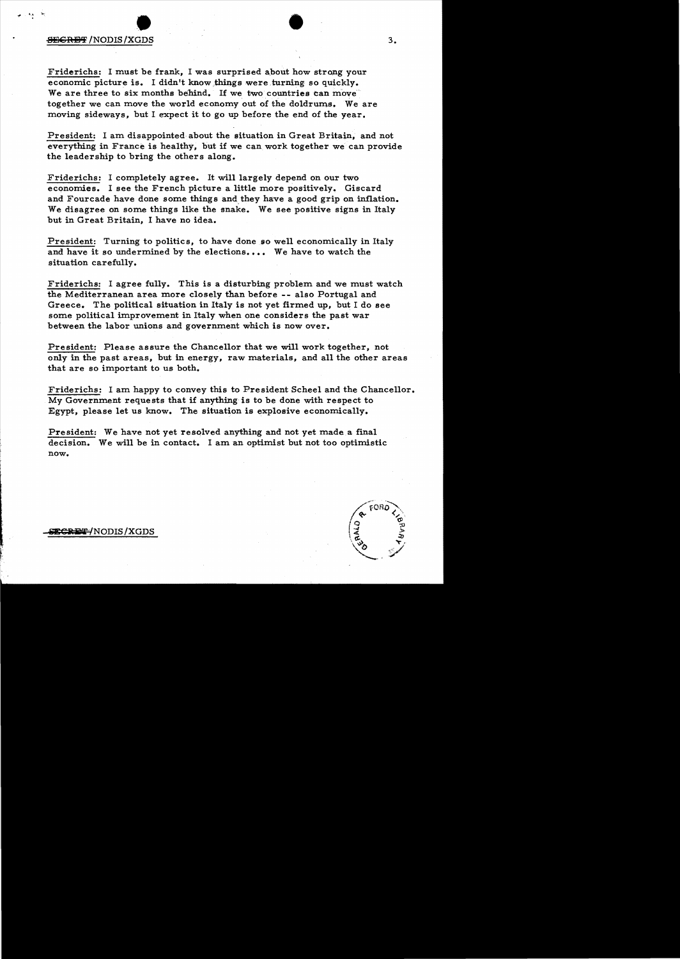# 813C:aE'i' /NODIS /XGDS • • 3.

Friderichs: I must be frank, I was surprised about how strong your economic picture is. I didn't know things were turning so quickly. We are three to six months behind. If we two countries can move together we can move the world economy out of the doldrums. We are moving sideways, but I expect it to go up before the end of the year.

President: I am disappointed about the situation in Great Britain, and not everything in France is healthy, but if we can work together we can provide the leadership to bring the others along.

Friderichs: I completely agree. It will largely depend on our two economies. I see the French picture a little more positively~ Giscard and Fourcade have done some things and they have a good grip on inflation. We disagree on some things like the snake. We see positive signs in Italy but in Great Britain, I have no idea.

President: Turning to politics, to have done so well economically in Italy and have it so undermined by the elections.... We have to watch the situation carefully.

Friderichs: I agree fully. This is a disturbing problem and we must watch the Mediterranean area more closely than before -- also Portugal and Greece. The political situation in Italy is not yet firmed up, but I do see some political improvement in Italy when one considers the past war between the labor unions and government which is now over.

President: Please assure the Chancellor that we will work together, not only in the past areas, but in energy, raw materials, and all the other areas that are so important to us both.

Friderichs: I am happy to convey this to President Scheel and the Chancellor. My Government requests that if anything is to be done with respect to Egypt, please let us know. The situation is explosive economically.

President: We have not yet resolved anything and not yet made a final decision. We will be in contact. I am an optimist but not too optimistic now.



**SECRET/NODIS/XGDS**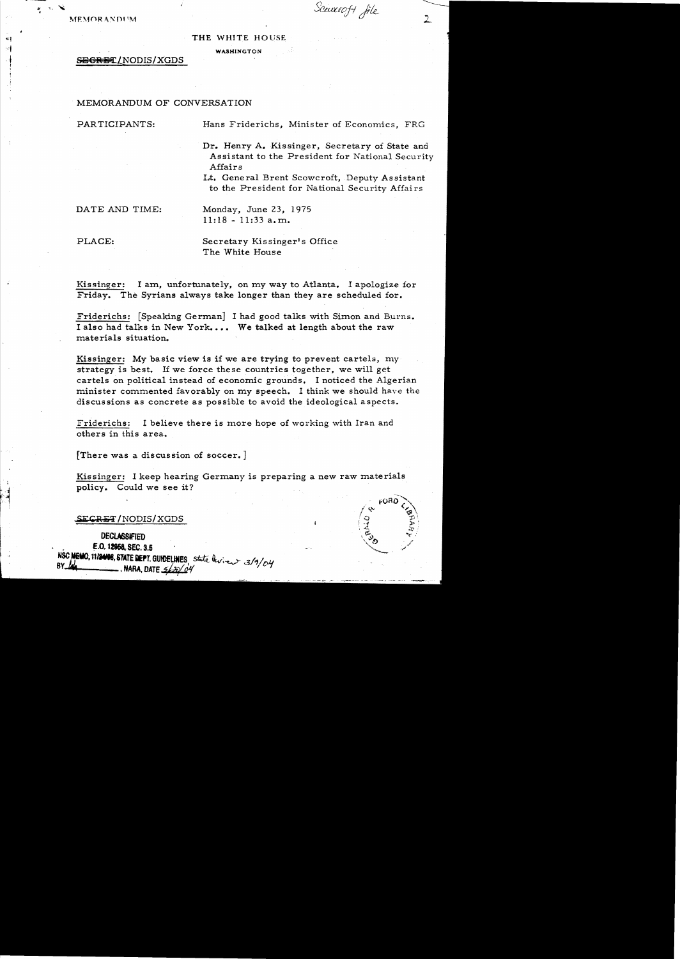**MEMORANDUM** 

 $\frac{1}{2}$  .

Scauroft file

#### THE WHITE HOUSE

WASHINGTON

SEGRET/NODIS/XGDS

### MEMORANDUM OF CONVERSATION

PARTICIPANTS: Hans Friderichs, Minister of Economics, FRG

Dr. Henry A. Kissinger, Secretary of State and Assistant to the President for National Security Affairs

Lt. Gene ral Brent Scowcroft, Deputy As sistant to the President for National Security Affairs

DATE AND TIME: Monday, June 23, 1975  $11:18 - 11:33$  a.m.

PLACE: Secretary Kissinger's Office The White House

Kissinger: I am, unfortunately, on my way to Atlanta. I apologize for Friday. The Syrians always take longer than they are scheduled for.

Friderichs: [Speaking German] I had good talks with Simon and Burns. I also had talks in New York.... We talked at length about the raw materials situation.

Kissinger: My basic view is if we are trying to prevent cartels, my strategy is best. If we force these countries together, we will get cartels on political instead of economic grounds. I noticed the Algerian minister commented favorably on my speech. I think we should have the discussions as concrete as possible to avoid the ideological aspects.

Friderichs: I believe there is more hope of working with Iran and others in this area.

[There was a discussion of soccer. ]

Kissinger: I keep hearing Germany is preparing a new raw materials policy. Could we see it?

#### SECRET/NODIS/XGDS

# **DECLASSIFIED**

E.O. 12958, SEC. 3.5 NSC MEMO, 11/2408, STATE DEPT. GUIDELINES State levies 3/9/ou  $BY$   $Q$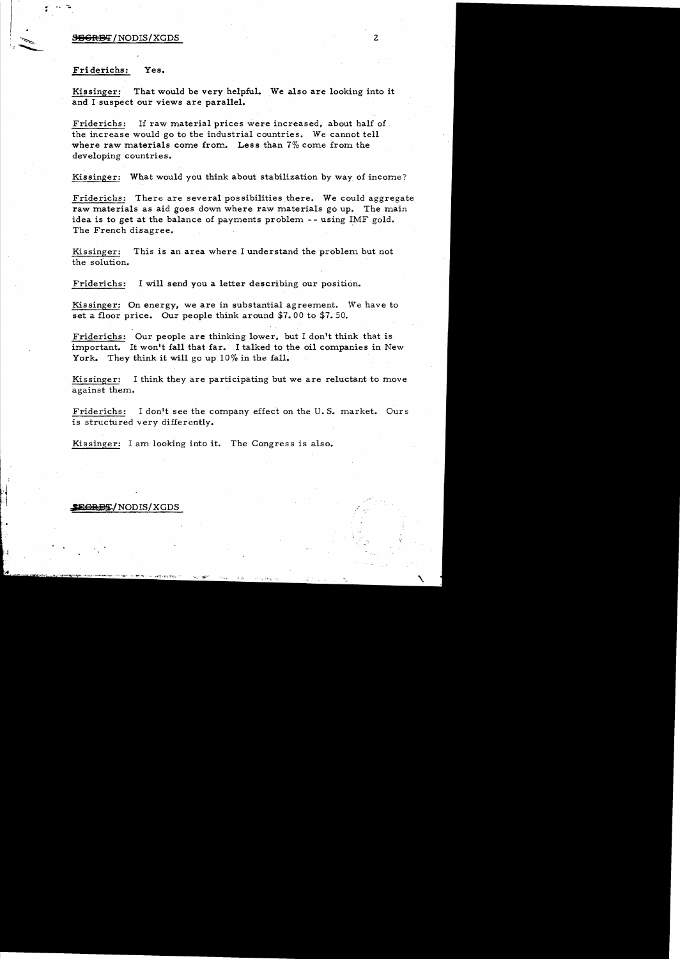### **BEGRET** / NODIS/XGDS 2

### Fri derichs: Yes.

Kissinger: That would be very helpful. We also are looking into it and I suspect our views are parallel.

Friderichs: If raw material prices were increased, about half of the increase would go to the industrial countries. We cannot tell where raw materials come from. Less than 7% come from the developing countries.

Kissinger: What would you think about stabilization by way of income?

Friderichs: There are several possibilities there. We could aggregate raw materials as aid goes down where raw materials go up. The main idea is to get at the balance of payments problem -- using IMF gold. The French disagree.

Kissinger: This is an area where I understand the problem but not the solution.

Friderichs: I will send you a letter describing our position.

Kissinger: On energy, we are in substantial agreement. We have to set a floor price. Our people think around \$7.00 to \$7. 50.

Friderichs: Our people are thinking lower. but I don't think that is important. It won't fall that far. I talked to the oil companies in New York. They think it will go up  $10\%$  in the fall.

Kissinger: I think they are participating but we are reluctant to move against them.

Friderichs: I don't see the company effect on the U. S. market. Ours is structured very differently.

Kissinger: I am looking into it. The Congress is also.

#### **EGRET/NODIS/XGDS**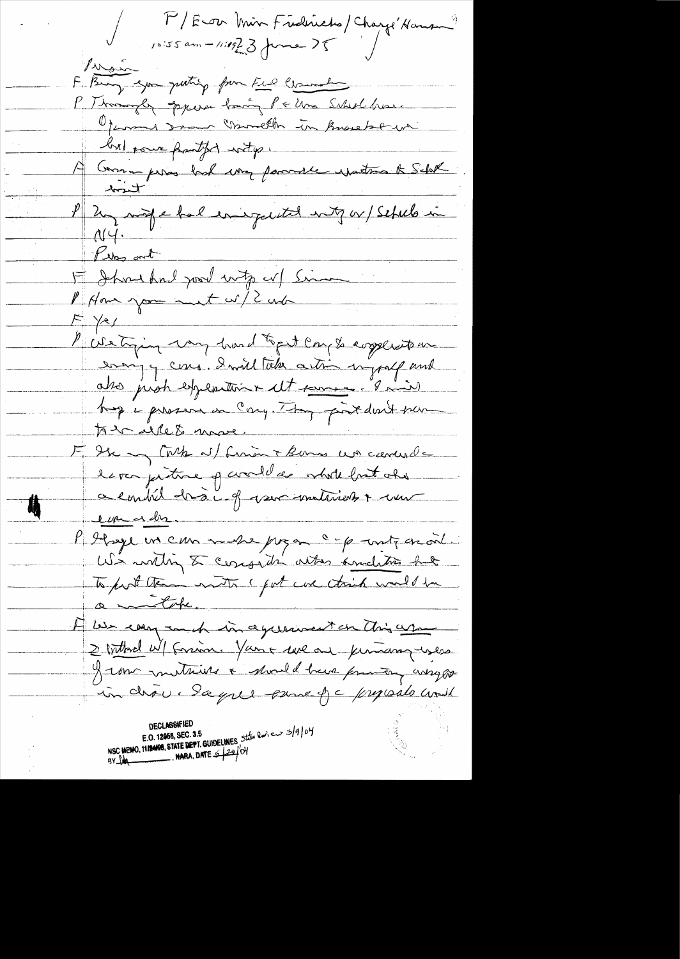M/Econ Min Fredricks/Charge Hansen?  $10155$  am - 11:1923 forme ?5 livan F. Bury you quoting from Full Comment P. Thomas Equera basing Pe una Scholchaue Operand som moneth in knowledgement but pour partiti with a A Group peros had my fammer expetite & Schol hart P 2 model energetel not of 15 schels in Plus out About houd pour units in Simon  $F$  /e/ Picturing mund topet complexation enough comme donnel take a time ingraff and atre just experience et pourre. Iniv F de Mint al finant komme un carrelat espa pitre q civil de vérde brit obs a combil droit of ver untirely & un **Aj** emender. P Ilsye un can mes pren c p unte en vil. To post ten notre pot une taid mals ha A les cary and in agreement on this are 2 bitterd W/ forsion. You + use ou permany uses I un mothing & should be from any any in choice Sayall pane f c proposalo cont NSC MEMO, 1112408, STATE DEPT. GUIDELINES, Station Curieux 3/9/04 BY  $M$  MARA, DATE  $\leq$   $29$ / OH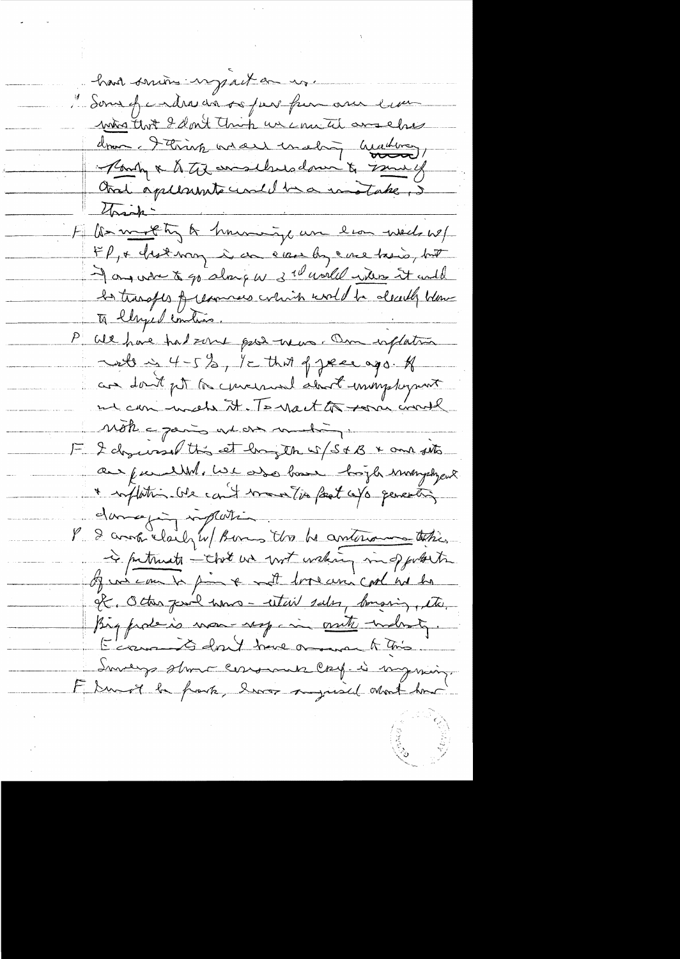hard suivi ingenit au m. "Some of cadre da so per fun our en mina that I don't think un connect and chief drawn. I think we are unding heading Park & til emselvedom & small Aral applements und ha motate, 5 Unich-Florenthy & having an lion week w/ FP, & hot may in a can by ene too is but I any when to go along w 3 w world with it under la transfes of recourses which would be decally blow.<br>To elhyed embios, To llyped continues. We have had some good means. On inflation when 4-5%, It that of year ago. A are don't get to concerned about immystryment en can med it. To noct to some work note a paris and one mating. F I drywood this et hay the w/S+B & and the aux fundelles ise ado base hopte mangelyers \* suplation (or count montgo feat caps percenting dame juillaite l'1 1 is patricula - that we with waking in opportunity of wine on to find a with look control whether If, Other park home - estail sales, bonaring, etc. Big from non-respective mother tradenty. E'iam is don't have one and it this Inverge strong consumer care-is myring. F Durot la frank, leurs sugared Mont har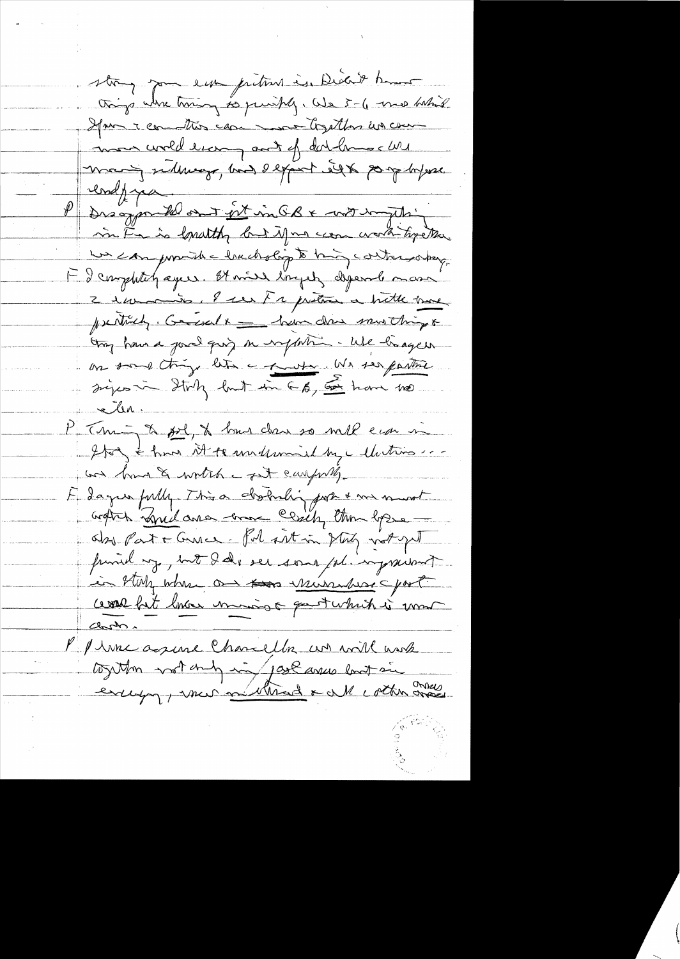strong pour eur prition is Diedit bour things where twing to purishly. We 5-6 me habit Have I committee can monthlas un com mon world living and of dathment will mang sideways, bind depart eight porphysic P Drogonte out est in GB + wit in this in Frais lonathy but if no come worth type the un can provide lauchslip to high contra sobreg. F I completely eyes. It wish lingets depends mass 2 in mois. I use Fre pretion a bitte back psentially, Garcial x \_ have done musthing & thay have a good girl on inform . We hagen on some things like a short . We see farther siges in Italy but in 6 b, 5 have no elen P Thing a fol, & has done so well can in Ito & hun it to undermined by a detroit ... un band & worth a fit carpelly E dager fully. This distributing port & me mont Gratis Bridance come Cesily than lopse about at a Gunce. Pol sit in story not get funid up, but I de son pl ingravent in bluty where are for minutes part ceval fat lava manigo questa hidre mon Chran Marine agence Chancella un will work together most and in jour avec long sie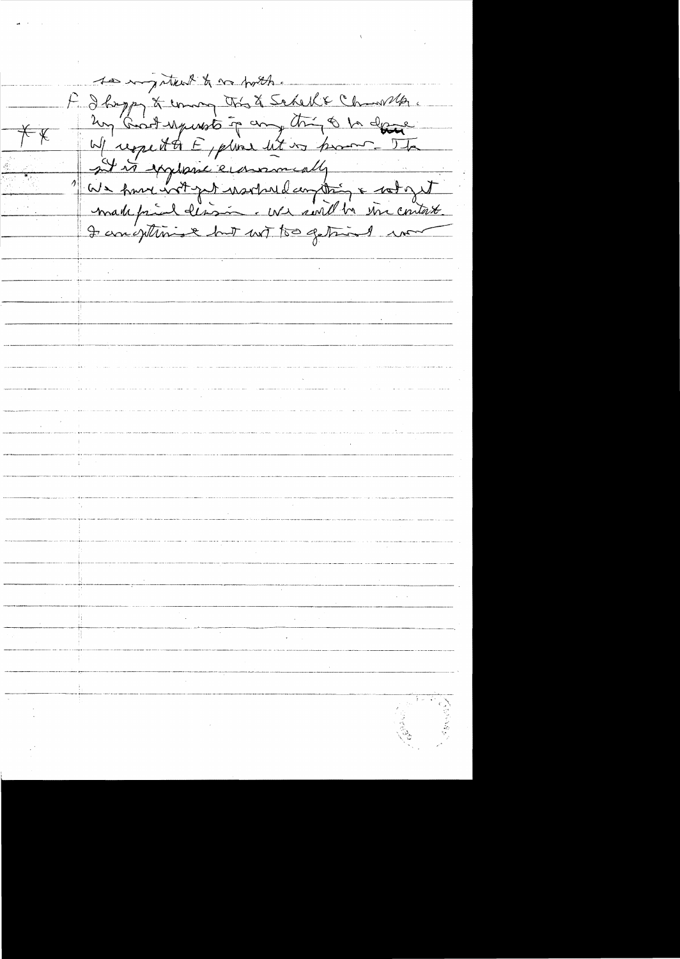to important to no porth. F I hope & union this & Saked & Changella.<br>Lun Groot sympto to any thing to be dessed<br>We republike examendly<br>in the symptomic examendly<br>in the symptomic example in and the since what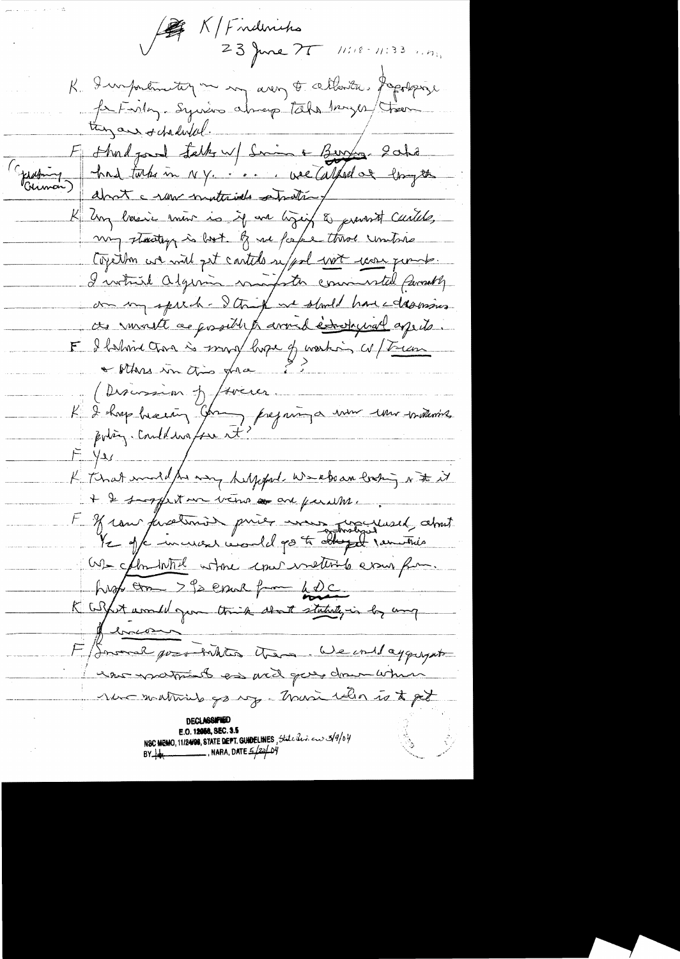199 K/Findmirhs 23 June 75 11:18-11:33 1.17 K. Importantique my avery t cettente. Popologie fer Feiley-Syries chap take began tour (Epseting ) had take in NY. ... vel Calped of longth K long lassie moint is if we liggift to prevent cautele, my stactory is both of me fake throe untire Coyethon we will get carteles uppel wet care permits. I votrire alguna mapter commental personty on my spirit - I think we should have dearing ces invaste as possible traverable tradequal apits. F I falmine Chan is my lape of working a / Treem + others in this grace ? Redignation de former  $F = \frac{1}{2}$ K that model for my happy week an looking of the it + & surprison verso and perutine. F of cour finations price was procured about We chantate where conservations even for. hust am > 92 court from 42c K Coffet would gone think about statute, in by any Jennes F Snowe probables them Weinday quyat who was prof to the discover distance when rue matinal go up - Marie Who is to get NSC MEMO, 11/24/08, STATE DEPT. GUIDELINES, State Rev. en 3/9/04  $BY$   $\psi$